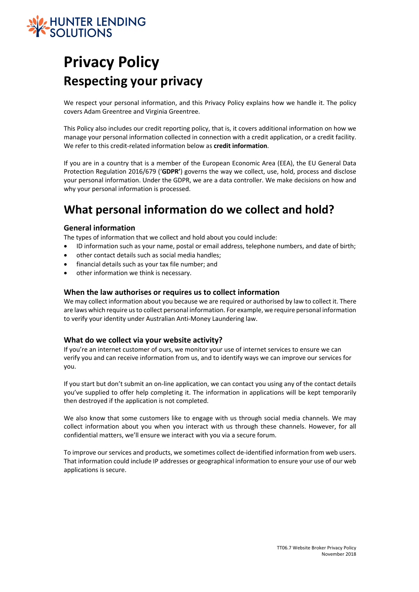

# **Privacy Policy Respecting your privacy**

We respect your personal information, and this Privacy Policy explains how we handle it. The policy covers Adam Greentree and Virginia Greentree.

This Policy also includes our credit reporting policy, that is, it covers additional information on how we manage your personal information collected in connection with a credit application, or a credit facility. We refer to this credit-related information below as **credit information**.

If you are in a country that is a member of the European Economic Area (EEA), the EU General Data Protection Regulation 2016/679 ('**GDPR'**) governs the way we collect, use, hold, process and disclose your personal information. Under the GDPR, we are a data controller. We make decisions on how and why your personal information is processed.

## **What personal information do we collect and hold?**

### **General information**

The types of information that we collect and hold about you could include:

- ID information such as your name, postal or email address, telephone numbers, and date of birth;
- other contact details such as social media handles;
- financial details such as your tax file number; and
- other information we think is necessary.

#### **When the law authorises or requires us to collect information**

We may collect information about you because we are required or authorised by law to collect it. There are laws which require us to collect personal information. For example, we require personal information to verify your identity under Australian Anti-Money Laundering law.

#### **What do we collect via your website activity?**

If you're an internet customer of ours, we monitor your use of internet services to ensure we can verify you and can receive information from us, and to identify ways we can improve our services for you.

If you start but don't submit an on-line application, we can contact you using any of the contact details you've supplied to offer help completing it. The information in applications will be kept temporarily then destroyed if the application is not completed.

We also know that some customers like to engage with us through social media channels. We may collect information about you when you interact with us through these channels. However, for all confidential matters, we'll ensure we interact with you via a secure forum.

To improve our services and products, we sometimes collect de-identified information from web users. That information could include IP addresses or geographical information to ensure your use of our web applications is secure.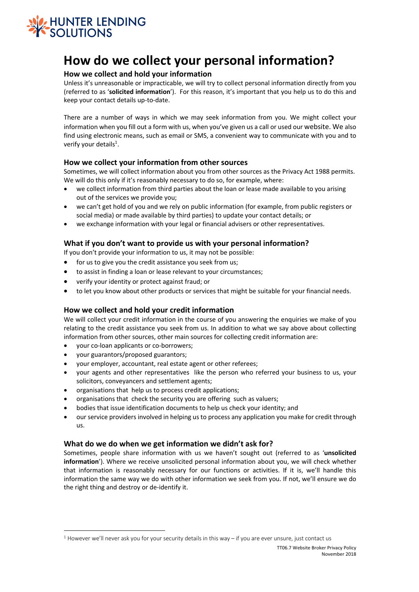

# **How do we collect your personal information?**

### **How we collect and hold your information**

Unless it's unreasonable or impracticable, we will try to collect personal information directly from you (referred to as '**solicited information**'). For this reason, it's important that you help us to do this and keep your contact details up-to-date.

There are a number of ways in which we may seek information from you. We might collect your information when you fill out a form with us, when you've given us a call or used our website. We also find using electronic means, such as email or SMS, a convenient way to communicate with you and to verify your details<sup>1</sup>.

### **How we collect your information from other sources**

Sometimes, we will collect information about you from other sources as the Privacy Act 1988 permits. We will do this only if it's reasonably necessary to do so, for example, where:

- we collect information from third parties about the loan or lease made available to you arising out of the services we provide you;
- we can't get hold of you and we rely on public information (for example, from public registers or social media) or made available by third parties) to update your contact details; or
- we exchange information with your legal or financial advisers or other representatives.

### **What if you don't want to provide us with your personal information?**

If you don't provide your information to us, it may not be possible:

- for us to give you the credit assistance you seek from us;
- to assist in finding a loan or lease relevant to your circumstances;
- verify your identity or protect against fraud; or
- to let you know about other products or services that might be suitable for your financial needs.

#### **How we collect and hold your credit information**

We will collect your credit information in the course of you answering the enquiries we make of you relating to the credit assistance you seek from us. In addition to what we say above about collecting information from other sources, other main sources for collecting credit information are:

- your co-loan applicants or co-borrowers;
- your guarantors/proposed guarantors;
- your employer, accountant, real estate agent or other referees;
- your agents and other representatives like the person who referred your business to us, your solicitors, conveyancers and settlement agents;
- organisations that help us to process credit applications;
- organisations that check the security you are offering such as valuers;
- bodies that issue identification documents to help us check your identity; and
- our service providers involved in helping us to process any application you make for credit through us.

#### **What do we do when we get information we didn't ask for?**

Sometimes, people share information with us we haven't sought out (referred to as '**unsolicited information**'). Where we receive unsolicited personal information about you, we will check whether that information is reasonably necessary for our functions or activities. If it is, we'll handle this information the same way we do with other information we seek from you. If not, we'll ensure we do the right thing and destroy or de-identify it.

<sup>1</sup> However we'll never ask you for your security details in this way – if you are ever unsure, just contact us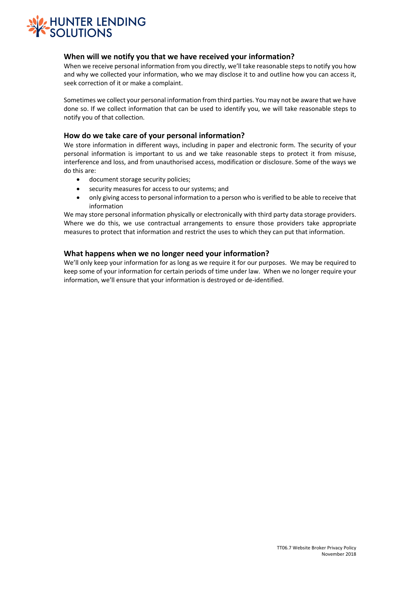

#### **When will we notify you that we have received your information?**

When we receive personal information from you directly, we'll take reasonable steps to notify you how and why we collected your information, who we may disclose it to and outline how you can access it, seek correction of it or make a complaint.

Sometimes we collect your personal information from third parties. You may not be aware that we have done so. If we collect information that can be used to identify you, we will take reasonable steps to notify you of that collection.

#### **How do we take care of your personal information?**

We store information in different ways, including in paper and electronic form. The security of your personal information is important to us and we take reasonable steps to protect it from misuse, interference and loss, and from unauthorised access, modification or disclosure. Some of the ways we do this are:

- document storage security policies;
- security measures for access to our systems; and
- only giving access to personal information to a person who is verified to be able to receive that information

We may store personal information physically or electronically with third party data storage providers. Where we do this, we use contractual arrangements to ensure those providers take appropriate measures to protect that information and restrict the uses to which they can put that information.

#### **What happens when we no longer need your information?**

We'll only keep your information for as long as we require it for our purposes. We may be required to keep some of your information for certain periods of time under law. When we no longer require your information, we'll ensure that your information is destroyed or de-identified.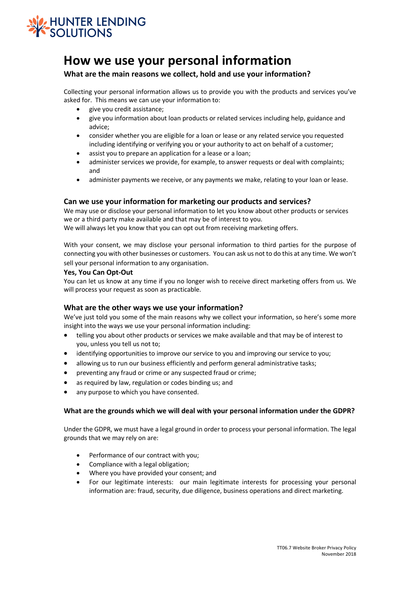

# **How we use your personal information**

### **What are the main reasons we collect, hold and use your information?**

Collecting your personal information allows us to provide you with the products and services you've asked for. This means we can use your information to:

- give you credit assistance;
- give you information about loan products or related services including help, guidance and advice;
- consider whether you are eligible for a loan or lease or any related service you requested including identifying or verifying you or your authority to act on behalf of a customer;
- assist you to prepare an application for a lease or a loan;
- administer services we provide, for example, to answer requests or deal with complaints; and
- administer payments we receive, or any payments we make, relating to your loan or lease.

### **Can we use your information for marketing our products and services?**

We may use or disclose your personal information to let you know about other products or services we or a third party make available and that may be of interest to you.

We will always let you know that you can opt out from receiving marketing offers.

With your consent, we may disclose your personal information to third parties for the purpose of connecting you with other businesses or customers. You can ask us not to do this at any time. We won't sell your personal information to any organisation.

#### **Yes, You Can Opt-Out**

You can let us know at any time if you no longer wish to receive direct marketing offers from us. We will process your request as soon as practicable.

#### **What are the other ways we use your information?**

We've just told you some of the main reasons why we collect your information, so here's some more insight into the ways we use your personal information including:

- telling you about other products or services we make available and that may be of interest to you, unless you tell us not to;
- identifying opportunities to improve our service to you and improving our service to you;
- allowing us to run our business efficiently and perform general administrative tasks;
- preventing any fraud or crime or any suspected fraud or crime;
- as required by law, regulation or codes binding us; and
- any purpose to which you have consented.

#### **What are the grounds which we will deal with your personal information under the GDPR?**

Under the GDPR, we must have a legal ground in order to process your personal information. The legal grounds that we may rely on are:

- Performance of our contract with you;
- Compliance with a legal obligation;
- Where you have provided your consent; and
- For our legitimate interests: our main legitimate interests for processing your personal information are: fraud, security, due diligence, business operations and direct marketing.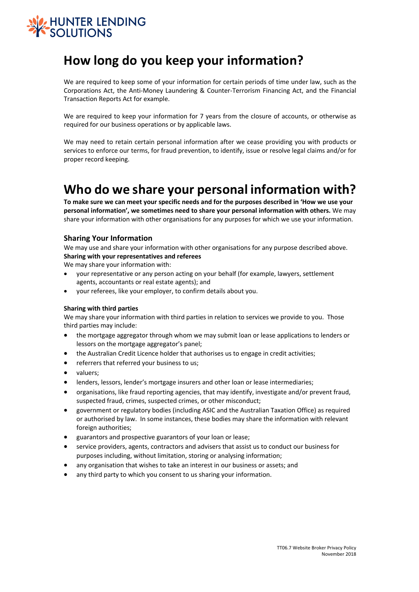

# **How long do you keep your information?**

We are required to keep some of your information for certain periods of time under law, such as the Corporations Act, the Anti-Money Laundering & Counter-Terrorism Financing Act, and the Financial Transaction Reports Act for example.

We are required to keep your information for 7 years from the closure of accounts, or otherwise as required for our business operations or by applicable laws.

We may need to retain certain personal information after we cease providing you with products or services to enforce our terms, for fraud prevention, to identify, issue or resolve legal claims and/or for proper record keeping.

# **Who do we share your personal information with?**

**To make sure we can meet your specific needs and for the purposes described in 'How we use your personal information', we sometimes need to share your personal information with others.** We may share your information with other organisations for any purposes for which we use your information.

#### **Sharing Your Information**

We may use and share your information with other organisations for any purpose described above. **Sharing with your representatives and referees** 

We may share your information with:

- your representative or any person acting on your behalf (for example, lawyers, settlement agents, accountants or real estate agents); and
- your referees, like your employer, to confirm details about you.

#### **Sharing with third parties**

We may share your information with third parties in relation to services we provide to you. Those third parties may include:

- the mortgage aggregator through whom we may submit loan or lease applications to lenders or lessors on the mortgage aggregator's panel;
- the Australian Credit Licence holder that authorises us to engage in credit activities;
- referrers that referred your business to us;
- valuers;
- lenders, lessors, lender's mortgage insurers and other loan or lease intermediaries;
- organisations, like fraud reporting agencies, that may identify, investigate and/or prevent fraud, suspected fraud, crimes, suspected crimes, or other misconduct;
- government or regulatory bodies (including ASIC and the Australian Taxation Office) as required or authorised by law. In some instances, these bodies may share the information with relevant foreign authorities;
- guarantors and prospective guarantors of your loan or lease;
- service providers, agents, contractors and advisers that assist us to conduct our business for purposes including, without limitation, storing or analysing information;
- any organisation that wishes to take an interest in our business or assets; and
- any third party to which you consent to us sharing your information.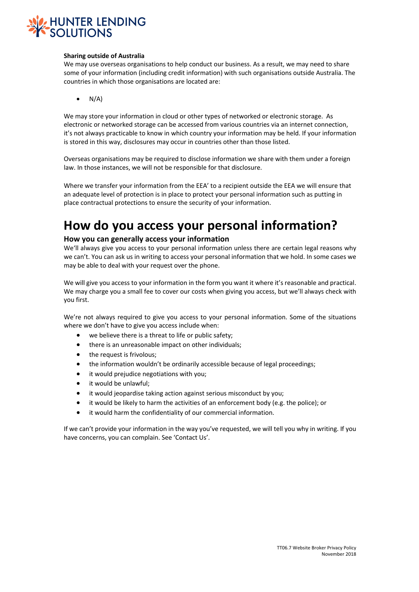

#### **Sharing outside of Australia**

We may use overseas organisations to help conduct our business. As a result, we may need to share some of your information (including credit information) with such organisations outside Australia. The countries in which those organisations are located are:

 $\bullet$  N/A)

We may store your information in cloud or other types of networked or electronic storage. As electronic or networked storage can be accessed from various countries via an internet connection, it's not always practicable to know in which country your information may be held. If your information is stored in this way, disclosures may occur in countries other than those listed.

Overseas organisations may be required to disclose information we share with them under a foreign law. In those instances, we will not be responsible for that disclosure.

Where we transfer your information from the EEA' to a recipient outside the EEA we will ensure that an adequate level of protection is in place to protect your personal information such as putting in place contractual protections to ensure the security of your information.

# **How do you access your personal information?**

#### **How you can generally access your information**

We'll always give you access to your personal information unless there are certain legal reasons why we can't. You can ask us in writing to access your personal information that we hold. In some cases we may be able to deal with your request over the phone.

We will give you access to your information in the form you want it where it's reasonable and practical. We may charge you a small fee to cover our costs when giving you access, but we'll always check with you first.

We're not always required to give you access to your personal information. Some of the situations where we don't have to give you access include when:

- we believe there is a threat to life or public safety;
- there is an unreasonable impact on other individuals;
- the request is frivolous;
- the information wouldn't be ordinarily accessible because of legal proceedings;
- it would prejudice negotiations with you;
- it would be unlawful;
- it would jeopardise taking action against serious misconduct by you;
- it would be likely to harm the activities of an enforcement body (e.g. the police); or
- it would harm the confidentiality of our commercial information.

If we can't provide your information in the way you've requested, we will tell you why in writing. If you have concerns, you can complain. See 'Contact Us'.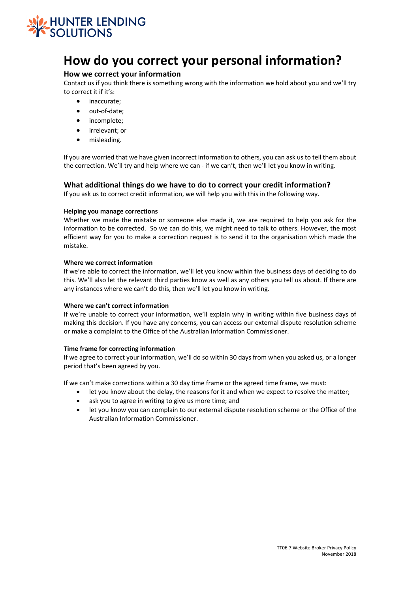

# **How do you correct your personal information?**

### **How we correct your information**

Contact us if you think there is something wrong with the information we hold about you and we'll try to correct it if it's:

- inaccurate;
- out-of-date:
- incomplete:
- irrelevant; or
- misleading.

If you are worried that we have given incorrect information to others, you can ask us to tell them about the correction. We'll try and help where we can - if we can't, then we'll let you know in writing.

#### **What additional things do we have to do to correct your credit information?**

If you ask us to correct credit information, we will help you with this in the following way.

#### **Helping you manage corrections**

Whether we made the mistake or someone else made it, we are required to help you ask for the information to be corrected. So we can do this, we might need to talk to others. However, the most efficient way for you to make a correction request is to send it to the organisation which made the mistake.

#### **Where we correct information**

If we're able to correct the information, we'll let you know within five business days of deciding to do this. We'll also let the relevant third parties know as well as any others you tell us about. If there are any instances where we can't do this, then we'll let you know in writing.

#### **Where we can't correct information**

If we're unable to correct your information, we'll explain why in writing within five business days of making this decision. If you have any concerns, you can access our external dispute resolution scheme or make a complaint to the Office of the Australian Information Commissioner.

#### **Time frame for correcting information**

If we agree to correct your information, we'll do so within 30 days from when you asked us, or a longer period that's been agreed by you.

If we can't make corrections within a 30 day time frame or the agreed time frame, we must:

- let you know about the delay, the reasons for it and when we expect to resolve the matter;
- ask you to agree in writing to give us more time; and
- let you know you can complain to our external dispute resolution scheme or the Office of the Australian Information Commissioner.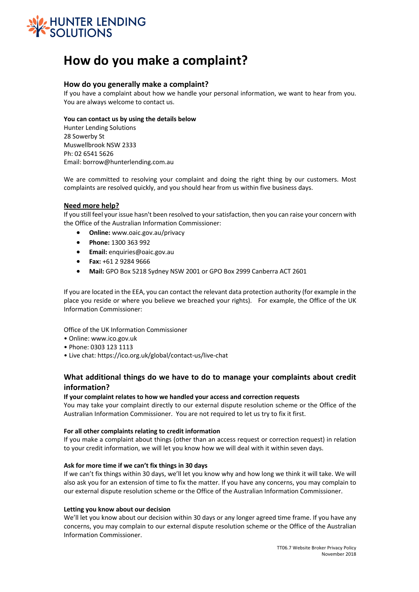

# **How do you make a complaint?**

### **How do you generally make a complaint?**

If you have a complaint about how we handle your personal information, we want to hear from you. You are always welcome to contact us.

#### **You can contact us by using the details below**

Hunter Lending Solutions 28 Sowerby St Muswellbrook NSW 2333 Ph: 02 6541 5626 Email: borrow@hunterlending.com.au

We are committed to resolving your complaint and doing the right thing by our customers. Most complaints are resolved quickly, and you should hear from us within five business days.

#### **Need more help?**

If you still feel your issue hasn't been resolved to your satisfaction, then you can raise your concern with the Office of the Australian Information Commissioner:

- **Online:** www.oaic.gov.au/privacy
- **Phone:** 1300 363 992
- **Email:** enquiries@oaic.gov.au
- **Fax:** +61 2 9284 9666
- **Mail:** GPO Box 5218 Sydney NSW 2001 or GPO Box 2999 Canberra ACT 2601

If you are located in the EEA, you can contact the relevant data protection authority (for example in the place you reside or where you believe we breached your rights). For example, the Office of the UK Information Commissioner:

Office of the UK Information Commissioner

- Online: www.ico.gov.uk
- Phone: 0303 123 1113
- Live chat: https://ico.org.uk/global/contact-us/live-chat

### **What additional things do we have to do to manage your complaints about credit information?**

#### **If your complaint relates to how we handled your access and correction requests**

You may take your complaint directly to our external dispute resolution scheme or the Office of the Australian Information Commissioner. You are not required to let us try to fix it first.

#### **For all other complaints relating to credit information**

If you make a complaint about things (other than an access request or correction request) in relation to your credit information, we will let you know how we will deal with it within seven days.

#### **Ask for more time if we can't fix things in 30 days**

If we can't fix things within 30 days, we'll let you know why and how long we think it will take. We will also ask you for an extension of time to fix the matter. If you have any concerns, you may complain to our external dispute resolution scheme or the Office of the Australian Information Commissioner.

#### **Letting you know about our decision**

We'll let you know about our decision within 30 days or any longer agreed time frame. If you have any concerns, you may complain to our external dispute resolution scheme or the Office of the Australian Information Commissioner.